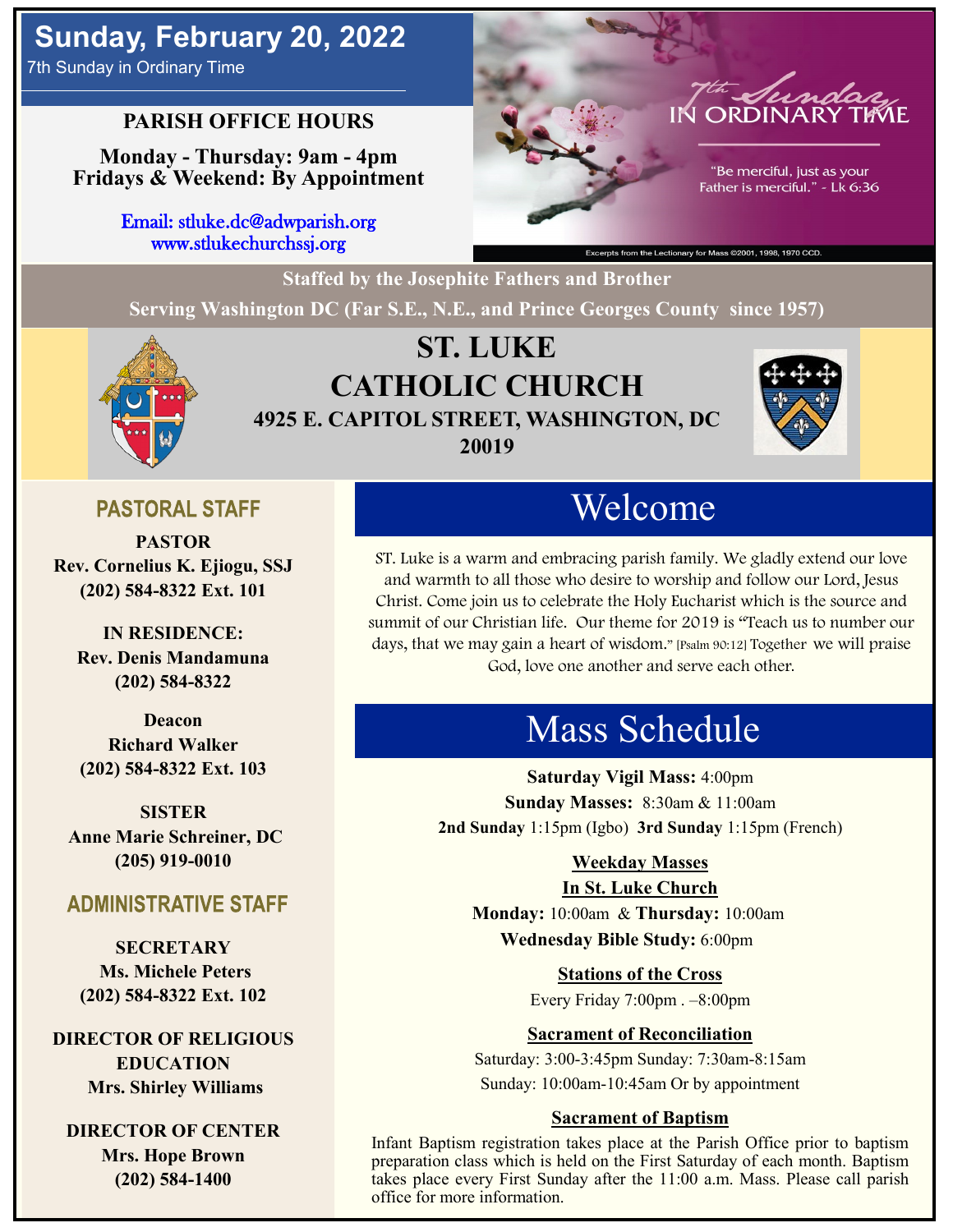# **Sunday, February 20, 2022**

7th Sunday in Ordinary Time

## **PARISH OFFICE HOURS**

**Monday - Thursday: 9am - 4pm Fridays & Weekend: By Appointment**

> Email: stluke.dc@adwparish.org www.stlukechurchssj.org



"Be merciful, just as your Father is merciful." - Lk 6:36

**Staffed by the Josephite Fathers and Brother**

**Serving Washington DC (Far S.E., N.E., and Prince Georges County since 1957)**



## **ST. LUKE CATHOLIC CHURCH 4925 E. CAPITOL STREET, WASHINGTON, DC 20019**



## **PASTORAL STAFF**

**PASTOR Rev. Cornelius K. Ejiogu, SSJ (202) 584-8322 Ext. 101**

**IN RESIDENCE: Rev. Denis Mandamuna (202) 584-8322** 

**Deacon Richard Walker (202) 584-8322 Ext. 103**

**SISTER Anne Marie Schreiner, DC (205) 919-0010**

## **ADMINISTRATIVE STAFF**

**SECRETARY Ms. Michele Peters (202) 584-8322 Ext. 102**

**DIRECTOR OF RELIGIOUS EDUCATION Mrs. Shirley Williams**

**DIRECTOR OF CENTER Mrs. Hope Brown (202) 584-1400**

# Welcome

ST. Luke is a warm and embracing parish family. We gladly extend our love and warmth to all those who desire to worship and follow our Lord, Jesus Christ. Come join us to celebrate the Holy Eucharist which is the source and summit of our Christian life. Our theme for 2019 is "Teach us to number our days, that we may gain a heart of wisdom." [Psalm 90:12] Together we will praise God, love one another and serve each other.

# Mass Schedule

**Saturday Vigil Mass:** 4:00pm **Sunday Masses:** 8:30am & 11:00am **2nd Sunday** 1:15pm (Igbo) **3rd Sunday** 1:15pm (French)

#### **Weekday Masses**

#### **In St. Luke Church**

**Monday:** 10:00am & **Thursday:** 10:00am **Wednesday Bible Study:** 6:00pm

**Stations of the Cross**

Every Friday 7:00pm . –8:00pm

## **Sacrament of Reconciliation**

Saturday: 3:00-3:45pm Sunday: 7:30am-8:15am Sunday: 10:00am-10:45am Or by appointment

#### **Sacrament of Baptism**

Infant Baptism registration takes place at the Parish Office prior to baptism preparation class which is held on the First Saturday of each month. Baptism takes place every First Sunday after the 11:00 a.m. Mass. Please call parish office for more information.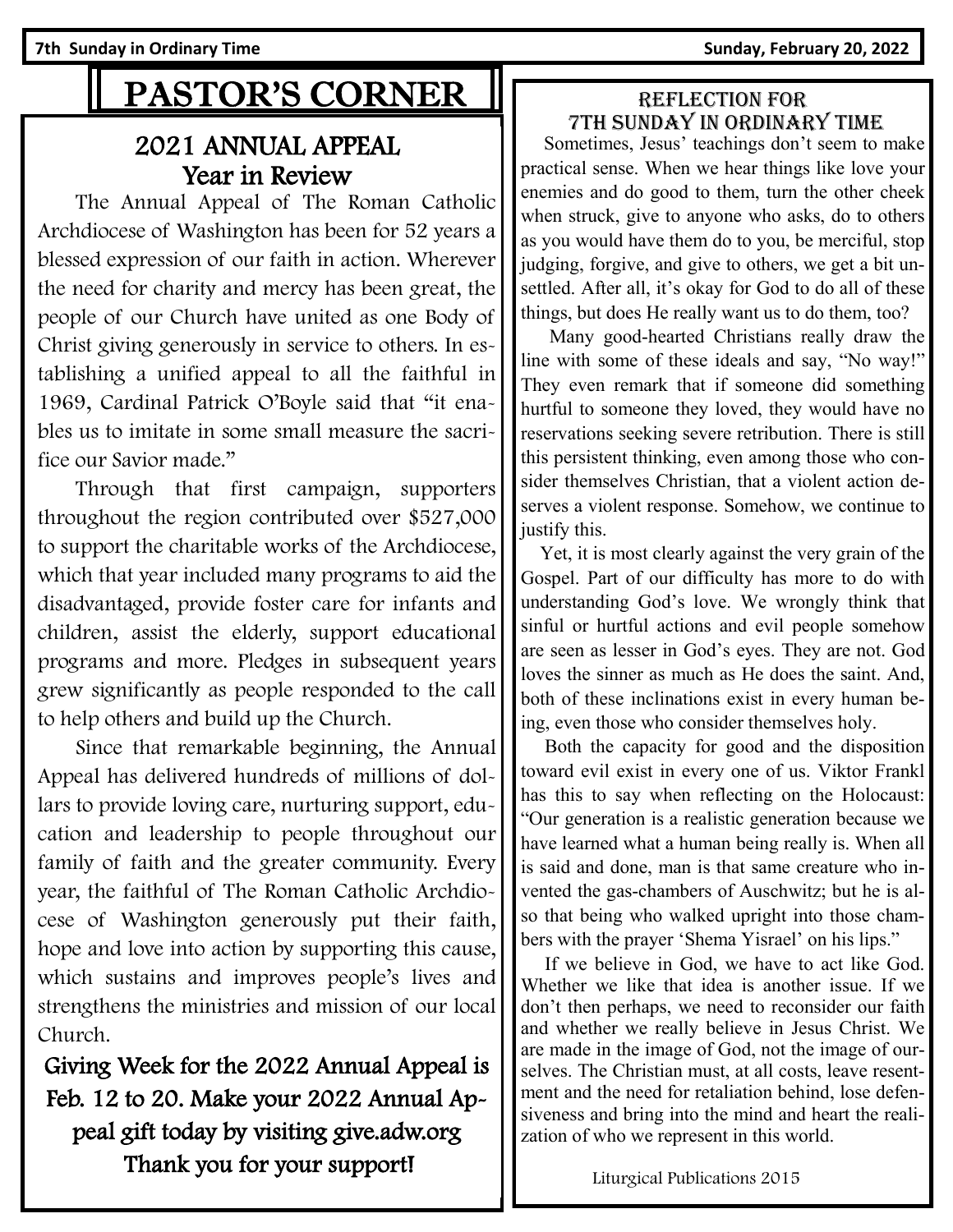**7th Sunday in Ordinary Time Sunday, February 20, 2022** 

# PASTOR'S CORNER

## 2021 ANNUAL APPEAL Year in Review

 The Annual Appeal of The Roman Catholic Archdiocese of Washington has been for 52 years a blessed expression of our faith in action. Wherever the need for charity and mercy has been great, the people of our Church have united as one Body of Christ giving generously in service to others. In establishing a unified appeal to all the faithful in 1969, Cardinal Patrick O'Boyle said that "it enables us to imitate in some small measure the sacrifice our Savior made."

 Through that first campaign, supporters throughout the region contributed over \$527,000 to support the charitable works of the Archdiocese, which that year included many programs to aid the disadvantaged, provide foster care for infants and children, assist the elderly, support educational programs and more. Pledges in subsequent years grew significantly as people responded to the call to help others and build up the Church.

 Since that remarkable beginning, the Annual Appeal has delivered hundreds of millions of dollars to provide loving care, nurturing support, education and leadership to people throughout our family of faith and the greater community. Every year, the faithful of The Roman Catholic Archdiocese of Washington generously put their faith, hope and love into action by supporting this cause, which sustains and improves people's lives and strengthens the ministries and mission of our local Church.

Giving Week for the 2022 Annual Appeal is Feb. 12 to 20. Make your 2022 Annual Appeal gift today by visiting give.adw.org Thank you for your support!

### Reflection for 7th Sunday in Ordinary time

 Sometimes, Jesus' teachings don't seem to make practical sense. When we hear things like love your enemies and do good to them, turn the other cheek when struck, give to anyone who asks, do to others as you would have them do to you, be merciful, stop judging, forgive, and give to others, we get a bit unsettled. After all, it's okay for God to do all of these things, but does He really want us to do them, too?

 Many good-hearted Christians really draw the line with some of these ideals and say, "No way!" They even remark that if someone did something hurtful to someone they loved, they would have no reservations seeking severe retribution. There is still this persistent thinking, even among those who consider themselves Christian, that a violent action deserves a violent response. Somehow, we continue to justify this.

 Yet, it is most clearly against the very grain of the Gospel. Part of our difficulty has more to do with understanding God's love. We wrongly think that sinful or hurtful actions and evil people somehow are seen as lesser in God's eyes. They are not. God loves the sinner as much as He does the saint. And, both of these inclinations exist in every human being, even those who consider themselves holy.

 Both the capacity for good and the disposition toward evil exist in every one of us. Viktor Frankl has this to say when reflecting on the Holocaust: "Our generation is a realistic generation because we have learned what a human being really is. When all is said and done, man is that same creature who invented the gas-chambers of Auschwitz; but he is also that being who walked upright into those chambers with the prayer 'Shema Yisrael' on his lips."

 If we believe in God, we have to act like God. Whether we like that idea is another issue. If we don't then perhaps, we need to reconsider our faith and whether we really believe in Jesus Christ. We are made in the image of God, not the image of ourselves. The Christian must, at all costs, leave resentment and the need for retaliation behind, lose defensiveness and bring into the mind and heart the realization of who we represent in this world.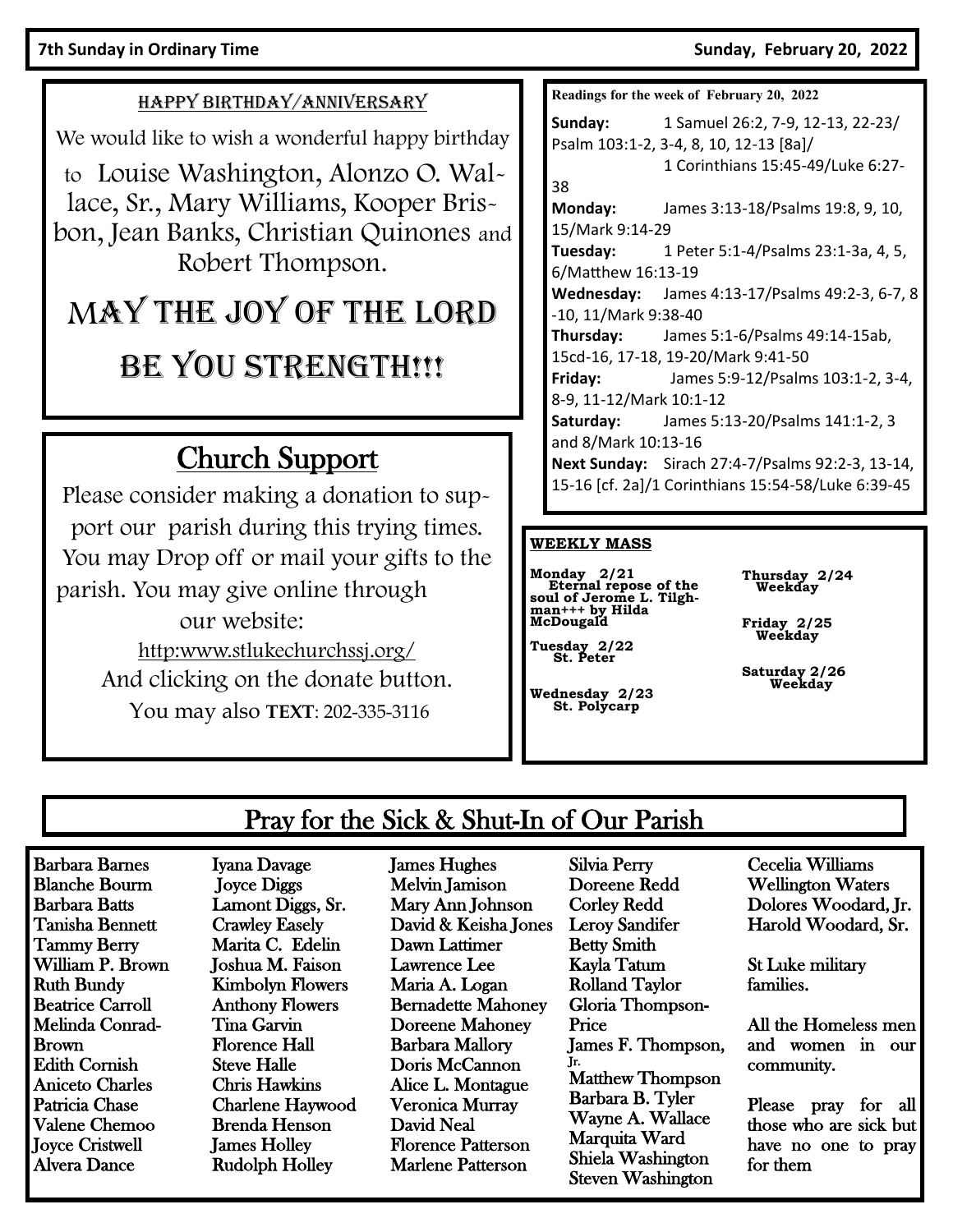#### HAPPY BIRTHDAY/ANNIVERSARY

We would like to wish a wonderful happy birthday

to Louise Washington, Alonzo O. Wallace, Sr., Mary Williams, Kooper Brisbon, Jean Banks, Christian Quinones and Robert Thompson.

# MAY THE JOY OF THE LORD

# BE YOU STRENGTH!!!

# Church Support

Please consider making a donation to support our parish during this trying times. You may Drop off or mail your gifts to the parish. You may give online through our website: [http:www.stlukechurchssj.org/](http://www.stlukechurchssj.org/) And clicking on the donate button. You may also **TEXT**: 202-335-3116

**Readings for the week of February 20, 2022**

**Sunday:** 1 Samuel 26:2, 7-9, 12-13, 22-23/ Psalm 103:1-2, 3-4, 8, 10, 12-13 [8a]/ 1 Corinthians 15:45-49/Luke 6:27- 38 **Monday:** James 3:13-18/Psalms 19:8, 9, 10, 15/Mark 9:14-29 **Tuesday:** 1 Peter 5:1-4/Psalms 23:1-3a, 4, 5, 6/Matthew 16:13-19 **Wednesday:** James 4:13-17/Psalms 49:2-3, 6-7, 8 -10, 11/Mark 9:38-40 **Thursday:** James 5:1-6/Psalms 49:14-15ab, 15cd-16, 17-18, 19-20/Mark 9:41-50 **Friday:** James 5:9-12/Psalms 103:1-2, 3-4, 8-9, 11-12/Mark 10:1-12 **Saturday:** James 5:13-20/Psalms 141:1-2, 3 and 8/Mark 10:13-16 **Next Sunday:** Sirach 27:4-7/Psalms 92:2-3, 13-14, 15-16 [cf. 2a]/1 Corinthians 15:54-58/Luke 6:39-45

#### **WEEKLY MASS**

**Monday 2/21 Eternal repose of the soul of Jerome L. Tilghman+++ by Hilda McDougald**

**Thursday 2/24 Weekday**

**Friday 2/25 Weekday**

 **Tuesday 2/22 St. Peter**

**Wednesday 2/23 St. Polycarp**

**Saturday 2/26 Weekday** 

## Pray for the Sick & Shut-In of Our Parish

Barbara Barnes Blanche Bourm Barbara Batts Tanisha Bennett Tammy Berry William P. Brown Ruth Bundy Beatrice Carroll Melinda Conrad-Brown Edith Cornish Aniceto Charles Patricia Chase Valene Chemoo Joyce Cristwell Alvera Dance

Iyana Davage Joyce Diggs Lamont Diggs, Sr. Crawley Easely Marita C. Edelin Joshua M. Faison Kimbolyn Flowers Anthony Flowers Tina Garvin Florence Hall Steve Halle Chris Hawkins Charlene Haywood Brenda Henson James Holley Rudolph Holley

James Hughes Melvin Jamison Mary Ann Johnson David & Keisha Jones Dawn Lattimer Lawrence Lee Maria A. Logan Bernadette Mahoney Doreene Mahoney Barbara Mallory Doris McCannon Alice L. Montague Veronica Murray David Neal Florence Patterson Marlene Patterson

Silvia Perry Doreene Redd Corley Redd Leroy Sandifer Betty Smith Kayla Tatum Rolland Taylor Gloria Thompson-Price James F. Thompson, Jr. Matthew Thompson Barbara B. Tyler Wayne A. Wallace Marquita Ward Shiela Washington Steven Washington

Cecelia Williams Wellington Waters Dolores Woodard, Jr. Harold Woodard, Sr.

St Luke military families.

All the Homeless men and women in our community.

Please pray for all those who are sick but have no one to pray for them